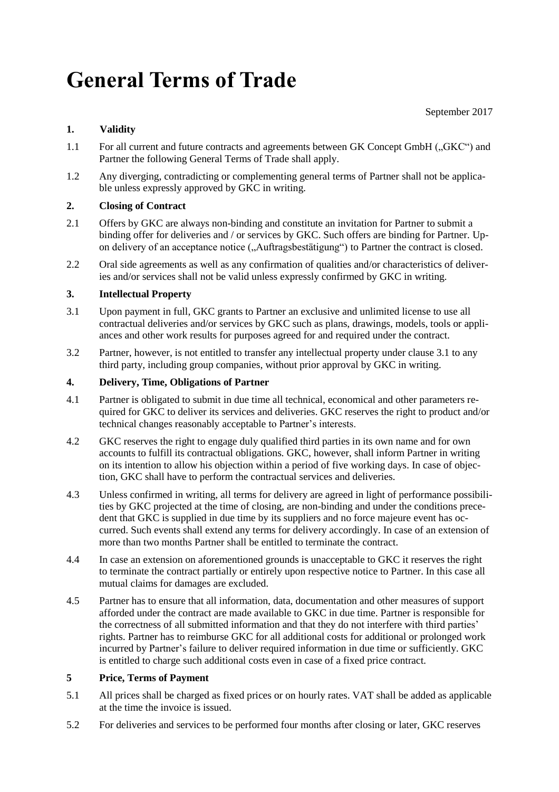# **General Terms of Trade**

September 2017

## **1. Validity**

- 1.1 For all current and future contracts and agreements between GK Concept GmbH ("GKC") and Partner the following General Terms of Trade shall apply.
- 1.2 Any diverging, contradicting or complementing general terms of Partner shall not be applicable unless expressly approved by GKC in writing.

## **2. Closing of Contract**

- 2.1 Offers by GKC are always non-binding and constitute an invitation for Partner to submit a binding offer for deliveries and / or services by GKC. Such offers are binding for Partner. Upon delivery of an acceptance notice ("Auftragsbestätigung") to Partner the contract is closed.
- 2.2 Oral side agreements as well as any confirmation of qualities and/or characteristics of deliveries and/or services shall not be valid unless expressly confirmed by GKC in writing.

## **3. Intellectual Property**

- 3.1 Upon payment in full, GKC grants to Partner an exclusive and unlimited license to use all contractual deliveries and/or services by GKC such as plans, drawings, models, tools or appliances and other work results for purposes agreed for and required under the contract.
- 3.2 Partner, however, is not entitled to transfer any intellectual property under clause 3.1 to any third party, including group companies, without prior approval by GKC in writing.

## **4. Delivery, Time, Obligations of Partner**

- 4.1 Partner is obligated to submit in due time all technical, economical and other parameters required for GKC to deliver its services and deliveries. GKC reserves the right to product and/or technical changes reasonably acceptable to Partner's interests.
- 4.2 GKC reserves the right to engage duly qualified third parties in its own name and for own accounts to fulfill its contractual obligations. GKC, however, shall inform Partner in writing on its intention to allow his objection within a period of five working days. In case of objection, GKC shall have to perform the contractual services and deliveries.
- 4.3 Unless confirmed in writing, all terms for delivery are agreed in light of performance possibilities by GKC projected at the time of closing, are non-binding and under the conditions precedent that GKC is supplied in due time by its suppliers and no force majeure event has occurred. Such events shall extend any terms for delivery accordingly. In case of an extension of more than two months Partner shall be entitled to terminate the contract.
- 4.4 In case an extension on aforementioned grounds is unacceptable to GKC it reserves the right to terminate the contract partially or entirely upon respective notice to Partner. In this case all mutual claims for damages are excluded.
- 4.5 Partner has to ensure that all information, data, documentation and other measures of support afforded under the contract are made available to GKC in due time. Partner is responsible for the correctness of all submitted information and that they do not interfere with third parties' rights. Partner has to reimburse GKC for all additional costs for additional or prolonged work incurred by Partner's failure to deliver required information in due time or sufficiently. GKC is entitled to charge such additional costs even in case of a fixed price contract.

### **5 Price, Terms of Payment**

- 5.1 All prices shall be charged as fixed prices or on hourly rates. VAT shall be added as applicable at the time the invoice is issued.
- 5.2 For deliveries and services to be performed four months after closing or later, GKC reserves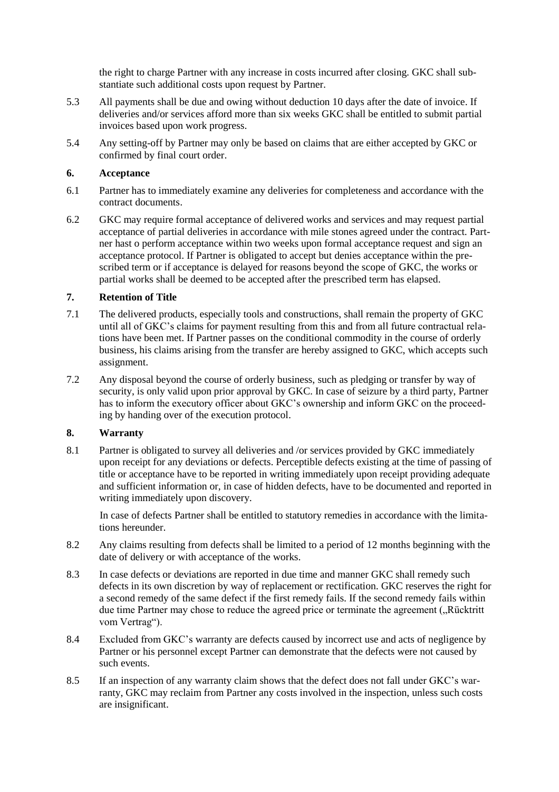the right to charge Partner with any increase in costs incurred after closing. GKC shall substantiate such additional costs upon request by Partner.

- 5.3 All payments shall be due and owing without deduction 10 days after the date of invoice. If deliveries and/or services afford more than six weeks GKC shall be entitled to submit partial invoices based upon work progress.
- 5.4 Any setting-off by Partner may only be based on claims that are either accepted by GKC or confirmed by final court order.

#### **6. Acceptance**

- 6.1 Partner has to immediately examine any deliveries for completeness and accordance with the contract documents.
- 6.2 GKC may require formal acceptance of delivered works and services and may request partial acceptance of partial deliveries in accordance with mile stones agreed under the contract. Partner hast o perform acceptance within two weeks upon formal acceptance request and sign an acceptance protocol. If Partner is obligated to accept but denies acceptance within the prescribed term or if acceptance is delayed for reasons beyond the scope of GKC, the works or partial works shall be deemed to be accepted after the prescribed term has elapsed.

#### **7. Retention of Title**

- 7.1 The delivered products, especially tools and constructions, shall remain the property of GKC until all of GKC's claims for payment resulting from this and from all future contractual relations have been met. If Partner passes on the conditional commodity in the course of orderly business, his claims arising from the transfer are hereby assigned to GKC, which accepts such assignment.
- 7.2 Any disposal beyond the course of orderly business, such as pledging or transfer by way of security, is only valid upon prior approval by GKC. In case of seizure by a third party, Partner has to inform the executory officer about GKC's ownership and inform GKC on the proceeding by handing over of the execution protocol.

#### **8. Warranty**

8.1 Partner is obligated to survey all deliveries and /or services provided by GKC immediately upon receipt for any deviations or defects. Perceptible defects existing at the time of passing of title or acceptance have to be reported in writing immediately upon receipt providing adequate and sufficient information or, in case of hidden defects, have to be documented and reported in writing immediately upon discovery.

In case of defects Partner shall be entitled to statutory remedies in accordance with the limitations hereunder.

- 8.2 Any claims resulting from defects shall be limited to a period of 12 months beginning with the date of delivery or with acceptance of the works.
- 8.3 In case defects or deviations are reported in due time and manner GKC shall remedy such defects in its own discretion by way of replacement or rectification. GKC reserves the right for a second remedy of the same defect if the first remedy fails. If the second remedy fails within due time Partner may chose to reduce the agreed price or terminate the agreement ("Rücktritt vom Vertrag").
- 8.4 Excluded from GKC's warranty are defects caused by incorrect use and acts of negligence by Partner or his personnel except Partner can demonstrate that the defects were not caused by such events.
- 8.5 If an inspection of any warranty claim shows that the defect does not fall under GKC's warranty, GKC may reclaim from Partner any costs involved in the inspection, unless such costs are insignificant.